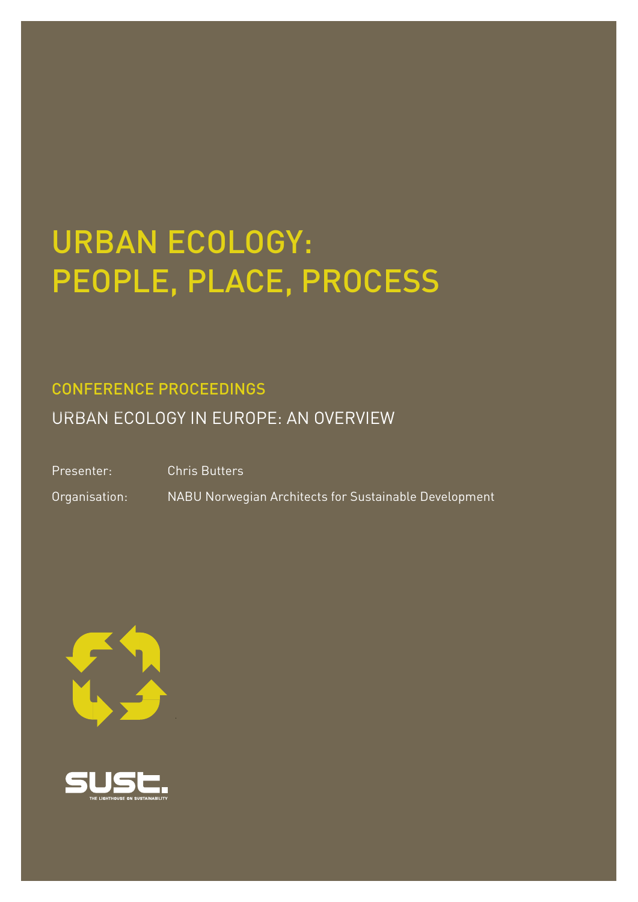# URBAN ECOLOGY: PEOPLE, PLACE, PROCESS

## CONFERENCE PROCEEDINGS

URBAN ECOLOGY IN EUROPE: AN OVERVIEW

Presenter: Chris Butters

Organisation: NABU Norwegian Architects for Sustainable Development



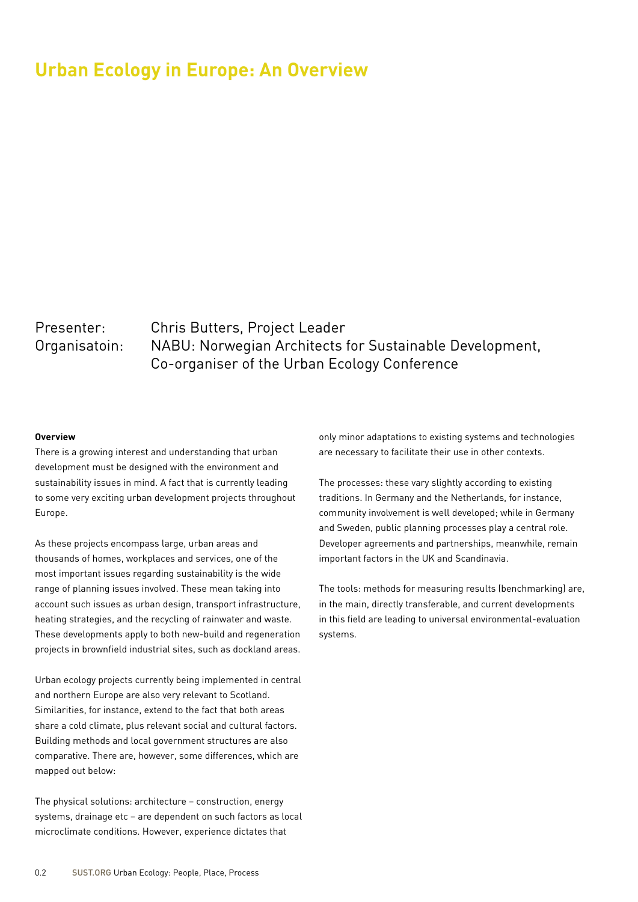## **Urban Ecology in Europe: An Overview**

### Presenter: Chris Butters, Project Leader Organisatoin: NABU: Norwegian Architects for Sustainable Development, Co-organiser of the Urban Ecology Conference

#### **Overview**

There is a growing interest and understanding that urban development must be designed with the environment and sustainability issues in mind. A fact that is currently leading to some very exciting urban development projects throughout Europe.

As these projects encompass large, urban areas and thousands of homes, workplaces and services, one of the most important issues regarding sustainability is the wide range of planning issues involved. These mean taking into account such issues as urban design, transport infrastructure, heating strategies, and the recycling of rainwater and waste. These developments apply to both new-build and regeneration projects in brownfield industrial sites, such as dockland areas.

Urban ecology projects currently being implemented in central and northern Europe are also very relevant to Scotland. Similarities, for instance, extend to the fact that both areas share a cold climate, plus relevant social and cultural factors. Building methods and local government structures are also comparative. There are, however, some differences, which are mapped out below:

The physical solutions: architecture – construction, energy systems, drainage etc – are dependent on such factors as local microclimate conditions. However, experience dictates that

only minor adaptations to existing systems and technologies are necessary to facilitate their use in other contexts.

The processes: these vary slightly according to existing traditions. In Germany and the Netherlands, for instance, community involvement is well developed; while in Germany and Sweden, public planning processes play a central role. Developer agreements and partnerships, meanwhile, remain important factors in the UK and Scandinavia.

The tools: methods for measuring results (benchmarking) are, in the main, directly transferable, and current developments in this field are leading to universal environmental-evaluation systems.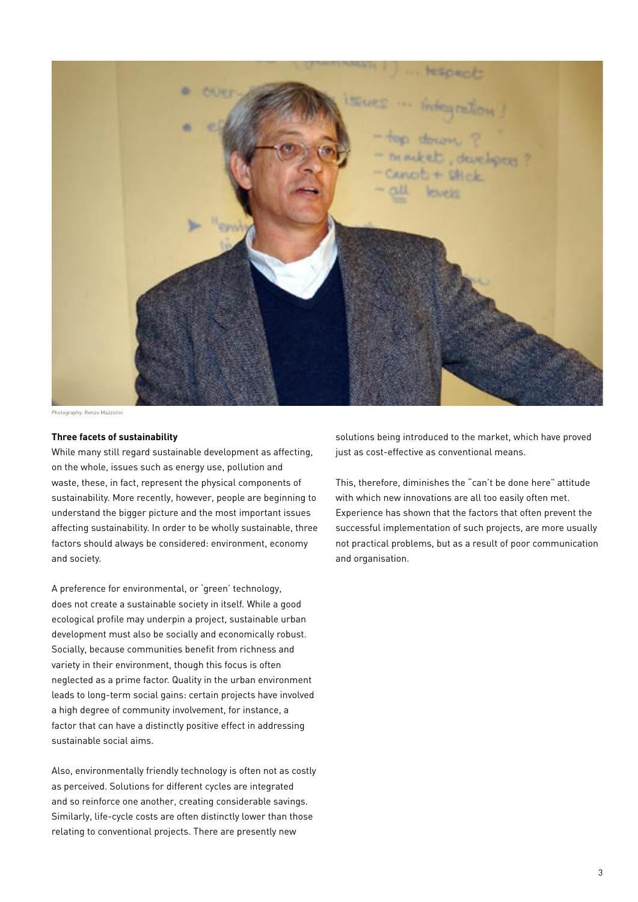

Photography: Renzo Mazzolini

#### **Three facets of sustainability**

While many still regard sustainable development as affecting, on the whole, issues such as energy use, pollution and waste, these, in fact, represent the physical components of sustainability. More recently, however, people are beginning to understand the bigger picture and the most important issues affecting sustainability. In order to be wholly sustainable, three factors should always be considered: environment, economy and society.

A preference for environmental, or 'green' technology, does not create a sustainable society in itself. While a good ecological profile may underpin a project, sustainable urban development must also be socially and economically robust. Socially, because communities benefit from richness and variety in their environment, though this focus is often neglected as a prime factor. Quality in the urban environment leads to long-term social gains: certain projects have involved a high degree of community involvement, for instance, a factor that can have a distinctly positive effect in addressing sustainable social aims.

Also, environmentally friendly technology is often not as costly as perceived. Solutions for different cycles are integrated and so reinforce one another, creating considerable savings. Similarly, life-cycle costs are often distinctly lower than those relating to conventional projects. There are presently new

solutions being introduced to the market, which have proved just as cost-effective as conventional means.

This, therefore, diminishes the "can't be done here" attitude with which new innovations are all too easily often met. Experience has shown that the factors that often prevent the successful implementation of such projects, are more usually not practical problems, but as a result of poor communication and organisation.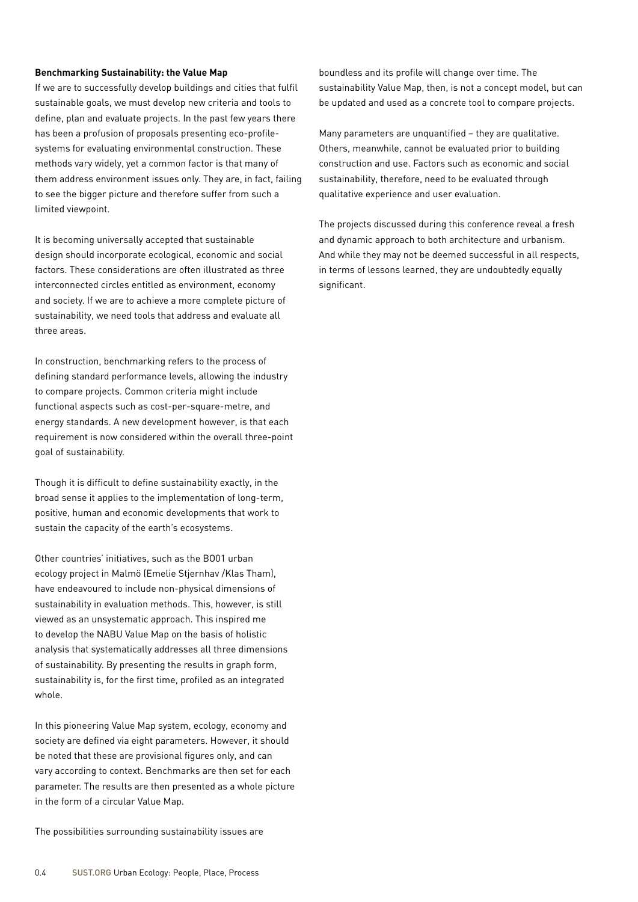#### **Benchmarking Sustainability: the Value Map**

If we are to successfully develop buildings and cities that fulfil sustainable goals, we must develop new criteria and tools to define, plan and evaluate projects. In the past few years there has been a profusion of proposals presenting eco-profilesystems for evaluating environmental construction. These methods vary widely, yet a common factor is that many of them address environment issues only. They are, in fact, failing to see the bigger picture and therefore suffer from such a limited viewpoint.

It is becoming universally accepted that sustainable design should incorporate ecological, economic and social factors. These considerations are often illustrated as three interconnected circles entitled as environment, economy and society. If we are to achieve a more complete picture of sustainability, we need tools that address and evaluate all three areas.

In construction, benchmarking refers to the process of defining standard performance levels, allowing the industry to compare projects. Common criteria might include functional aspects such as cost-per-square-metre, and energy standards. A new development however, is that each requirement is now considered within the overall three-point goal of sustainability.

Though it is difficult to define sustainability exactly, in the broad sense it applies to the implementation of long-term, positive, human and economic developments that work to sustain the capacity of the earth's ecosystems.

Other countries' initiatives, such as the BO01 urban ecology project in Malmö (Emelie Stjernhav /Klas Tham), have endeavoured to include non-physical dimensions of sustainability in evaluation methods. This, however, is still viewed as an unsystematic approach. This inspired me to develop the NABU Value Map on the basis of holistic analysis that systematically addresses all three dimensions of sustainability. By presenting the results in graph form, sustainability is, for the first time, profiled as an integrated whole.

In this pioneering Value Map system, ecology, economy and society are defined via eight parameters. However, it should be noted that these are provisional figures only, and can vary according to context. Benchmarks are then set for each parameter. The results are then presented as a whole picture in the form of a circular Value Map.

The possibilities surrounding sustainability issues are

boundless and its profile will change over time. The sustainability Value Map, then, is not a concept model, but can be updated and used as a concrete tool to compare projects.

Many parameters are unquantified – they are qualitative. Others, meanwhile, cannot be evaluated prior to building construction and use. Factors such as economic and social sustainability, therefore, need to be evaluated through qualitative experience and user evaluation.

The projects discussed during this conference reveal a fresh and dynamic approach to both architecture and urbanism. And while they may not be deemed successful in all respects, in terms of lessons learned, they are undoubtedly equally significant.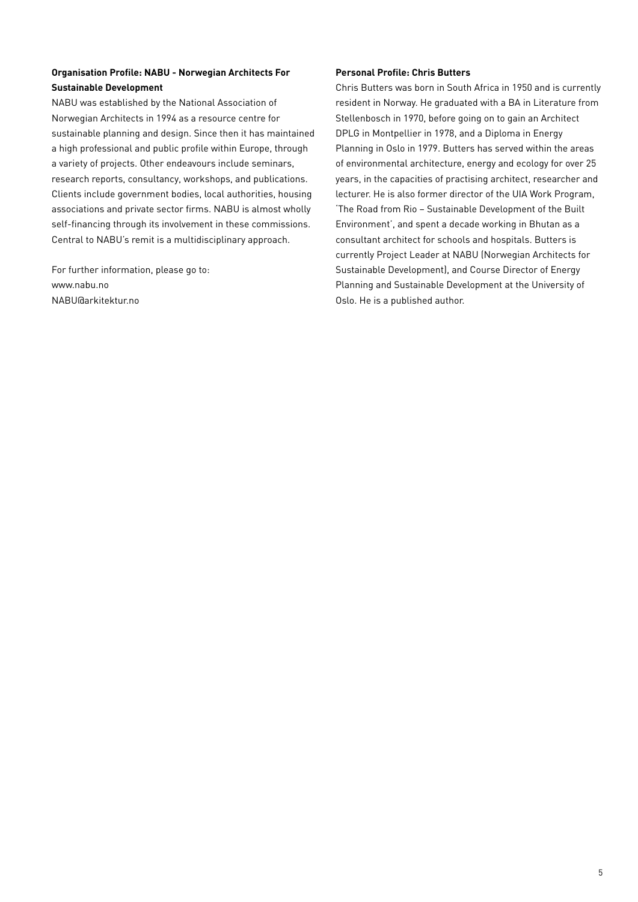#### **Organisation Profile: NABU - Norwegian Architects For Sustainable Development**

NABU was established by the National Association of Norwegian Architects in 1994 as a resource centre for sustainable planning and design. Since then it has maintained a high professional and public profile within Europe, through a variety of projects. Other endeavours include seminars, research reports, consultancy, workshops, and publications. Clients include government bodies, local authorities, housing associations and private sector firms. NABU is almost wholly self-financing through its involvement in these commissions. Central to NABU's remit is a multidisciplinary approach.

For further information, please go to: www.nabu.no NABU@arkitektur.no

#### **Personal Profile: Chris Butters**

Chris Butters was born in South Africa in 1950 and is currently resident in Norway. He graduated with a BA in Literature from Stellenbosch in 1970, before going on to gain an Architect DPLG in Montpellier in 1978, and a Diploma in Energy Planning in Oslo in 1979. Butters has served within the areas of environmental architecture, energy and ecology for over 25 years, in the capacities of practising architect, researcher and lecturer. He is also former director of the UIA Work Program, 'The Road from Rio – Sustainable Development of the Built Environment', and spent a decade working in Bhutan as a consultant architect for schools and hospitals. Butters is currently Project Leader at NABU (Norwegian Architects for Sustainable Development), and Course Director of Energy Planning and Sustainable Development at the University of Oslo. He is a published author.